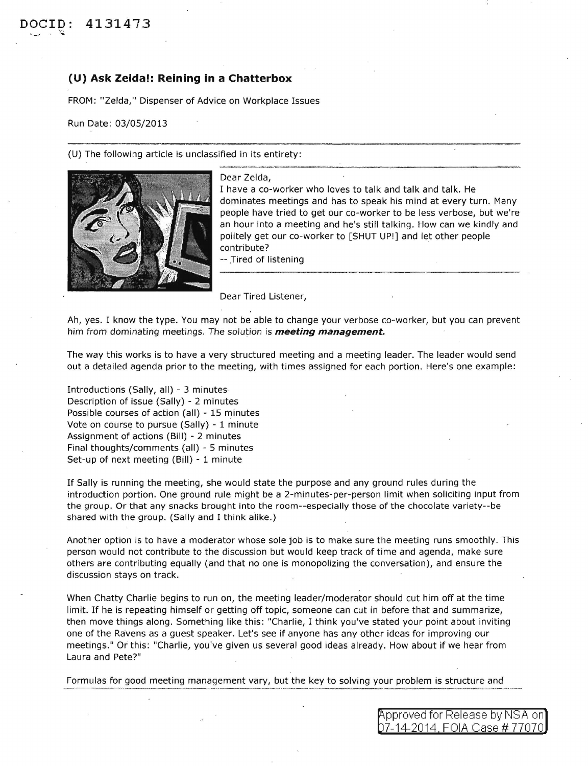## **(U) Ask Zelda!: Reining in a Chatterbox**

FROM: "Zelda," Dispenser of Advice on Workplace Issues

Run Date: 03/05/2013

(U) The following article is unclassified in its entirety:



Dear Zelda,

I have a co-worker who loves to talk and talk and talk. He dominates meetings and has to speak his mind at every turn. Many people have tried to get our co-worker to be less verbose, but we're an hour into a meeting and he's still talking. How can we kindly and politely get our co-worker to [SHUT UP!] and let other people contribute?

-- Tired of listening

Dear Tired Listener,

Ah, yes. I know the type. You may not be able to change your verbose co-worker, but you can prevent him from dominating meetings. The solution is **meeting management.** 

The way this works is to have a very structured meeting and a meeting leader. The leader would send out a detailed agenda prior to the meeting, with times assigned for each portion. Here's one example:

Introductions (Sally, all) - 3 minutes Description of issue (Sally) - 2 minutes Possible courses of action (all) - 15 minutes Vote on course to pursue (Sally) - 1 minute Assignment of actions (Bill) - 2 minutes Final thoughts/comments (all) - 5 minutes Set-up of next meeting (Bill) - 1 minute

If Sally is running the meeting, she would state the purpose and any ground rules during the introduction portion. One ground rule might be a 2-minutes-per-person limit when soliciting input from the group. Or that any snacks brought into the room--especially those of the chocolate variety--be shared with the group. (Sally and I think alike.)

Another option is to have a moderator whose sole job is to make sure the meeting runs smoothly. This person would not contribute to the discussion but would keep track of time and agenda, make sure others are contributing equally (and that no one is monopolizing the conversation), and ensure the discussion stays on track.

When Chatty Charlie begins to run on, the meeting leader/moderator should cut him off at the time limit. If he is repeating himself or getting off topic, someone can cut in before that and summarize, then move things along. Something like this: "Charlie, I think you've stated your point about inviting one of the Ravens as a guest speaker. Let's see if anyone has any other ideas for improving our meetings." Or this: "Charlie, you've given us several good ideas already. How about if we hear from Laura and Pete?"

Formulas for good meeting management vary, but the key to solving your problem is structure and